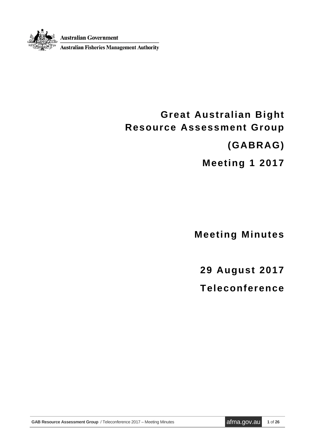**Australian Government** 

**Australian Fisheries Management Authority** 

# **Great Australian Bight Resource Assessment Group**

**(GABRAG)**

**Meeting 1 2017**

**Meeting Minutes**

**29 August 2017**

**Teleconference**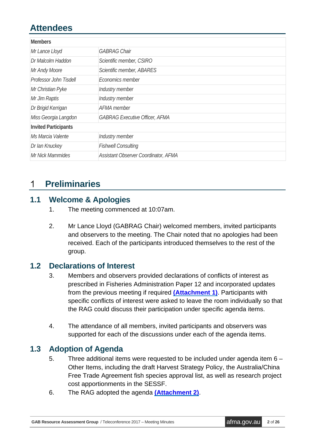# **Attendees**

| <b>Members</b>              |                                       |
|-----------------------------|---------------------------------------|
| Mr Lance Lloyd              | <b>GABRAG Chair</b>                   |
| Dr Malcolm Haddon           | Scientific member, CSIRO              |
| Mr Andy Moore               | Scientific member, ABARES             |
| Professor John Tisdell      | Economics member                      |
| Mr Christian Pyke           | Industry member                       |
| Mr Jim Raptis               | Industry member                       |
| Dr Brigid Kerrigan          | <b>AFMA</b> member                    |
| Miss Georgia Langdon        | <b>GABRAG Executive Officer, AFMA</b> |
| <b>Invited Participants</b> |                                       |
| Ms Marcia Valente           | Industry member                       |
| Dr Ian Knuckey              | <b>Fishwell Consulting</b>            |
| Mr Nick Mammides            | Assistant Observer Coordinator, AFMA  |

#### **Preliminaries**  $\mathbf 1$

### **1.1 Welcome & Apologies**

- 1. The meeting commenced at 10:07am.
- 2. Mr Lance Lloyd (GABRAG Chair) welcomed members, invited participants and observers to the meeting. The Chair noted that no apologies had been received. Each of the participants introduced themselves to the rest of the group.

### **1.2 Declarations of Interest**

- 3. Members and observers provided declarations of conflicts of interest as prescribed in Fisheries Administration Paper 12 and incorporated updates from the previous meeting if required **[\(Attachment](#page-13-0) 1)**. Participants with specific conflicts of interest were asked to leave the room individually so that the RAG could discuss their participation under specific agenda items.
- 4. The attendance of all members, invited participants and observers was supported for each of the discussions under each of the agenda items.

### **1.3 Adoption of Agenda**

- 5. Three additional items were requested to be included under agenda item 6 Other Items, including the draft Harvest Strategy Policy, the Australia/China Free Trade Agreement fish species approval list, as well as research project cost apportionments in the SESSF.
- 6. The RAG adopted the agenda **[\(Attachment 2\)](#page-14-0)**.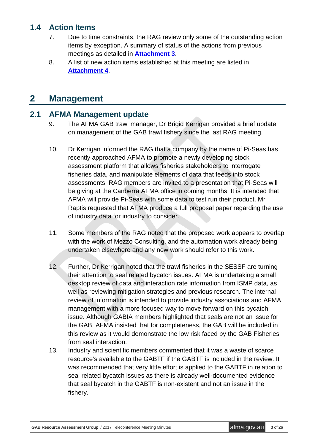## **1.4 Action Items**

- 7. Due to time constraints, the RAG review only some of the outstanding action items by exception. A summary of status of the actions from previous meetings as detailed in **[Attachment 3](#page-16-0)**.
- 8. A list of new action items established at this meeting are listed in **[Attachment 4](#page-20-0)**.

## **2 Management**

## **2.1 AFMA Management update**

- 9. The AFMA GAB trawl manager, Dr Brigid Kerrigan provided a brief update on management of the GAB trawl fishery since the last RAG meeting.
- 10. Dr Kerrigan informed the RAG that a company by the name of Pi-Seas has recently approached AFMA to promote a newly developing stock assessment platform that allows fisheries stakeholders to interrogate fisheries data, and manipulate elements of data that feeds into stock assessments. RAG members are invited to a presentation that Pi-Seas will be giving at the Canberra AFMA office in coming months. It is intended that AFMA will provide Pi-Seas with some data to test run their product. Mr Raptis requested that AFMA produce a full proposal paper regarding the use of industry data for industry to consider.
- 11. Some members of the RAG noted that the proposed work appears to overlap with the work of Mezzo Consulting, and the automation work already being undertaken elsewhere and any new work should refer to this work.
- 12. Further, Dr Kerrigan noted that the trawl fisheries in the SESSF are turning their attention to seal related bycatch issues. AFMA is undertaking a small desktop review of data and interaction rate information from ISMP data, as well as reviewing mitigation strategies and previous research. The internal review of information is intended to provide industry associations and AFMA management with a more focused way to move forward on this bycatch issue. Although GABIA members highlighted that seals are not an issue for the GAB, AFMA insisted that for completeness, the GAB will be included in this review as it would demonstrate the low risk faced by the GAB Fisheries from seal interaction.
- 13. Industry and scientific members commented that it was a waste of scarce resource's available to the GABTF if the GABTF is included in the review. It was recommended that very little effort is applied to the GABTF in relation to seal related bycatch issues as there is already well-documented evidence that seal bycatch in the GABTF is non-existent and not an issue in the fishery.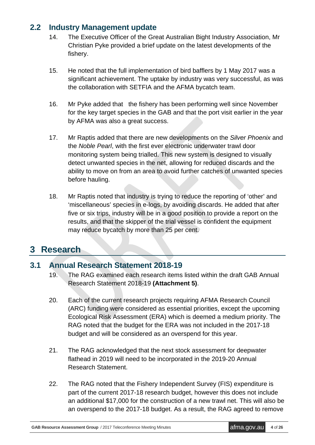### **2.2 Industry Management update**

- 14. The Executive Officer of the Great Australian Bight Industry Association, Mr Christian Pyke provided a brief update on the latest developments of the fishery.
- 15. He noted that the full implementation of bird bafflers by 1 May 2017 was a significant achievement. The uptake by industry was very successful, as was the collaboration with SETFIA and the AFMA bycatch team.
- 16. Mr Pyke added that the fishery has been performing well since November for the key target species in the GAB and that the port visit earlier in the year by AFMA was also a great success.
- 17. Mr Raptis added that there are new developments on the *Silver Phoenix* and the *Noble Pearl*, with the first ever electronic underwater trawl door monitoring system being trialled. This new system is designed to visually detect unwanted species in the net, allowing for reduced discards and the ability to move on from an area to avoid further catches of unwanted species before hauling.
- 18. Mr Raptis noted that industry is trying to reduce the reporting of 'other' and 'miscellaneous' species in e-logs, by avoiding discards. He added that after five or six trips, industry will be in a good position to provide a report on the results, and that the skipper of the trial vessel is confident the equipment may reduce bycatch by more than 25 per cent.

## **3 Research**

### **3.1 Annual Research Statement 2018-19**

- 19. The RAG examined each research items listed within the draft GAB Annual Research Statement 2018-19 **(Attachment 5)**.
- 20. Each of the current research projects requiring AFMA Research Council (ARC) funding were considered as essential priorities, except the upcoming Ecological Risk Assessment (ERA) which is deemed a medium priority. The RAG noted that the budget for the ERA was not included in the 2017-18 budget and will be considered as an overspend for this year.
- 21. The RAG acknowledged that the next stock assessment for deepwater flathead in 2019 will need to be incorporated in the 2019-20 Annual Research Statement.
- 22. The RAG noted that the Fishery Independent Survey (FIS) expenditure is part of the current 2017-18 research budget, however this does not include an additional \$17,000 for the construction of a new trawl net. This will also be an overspend to the 2017-18 budget. As a result, the RAG agreed to remove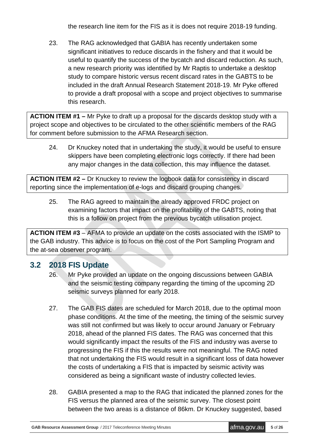the research line item for the FIS as it is does not require 2018-19 funding.

23. The RAG acknowledged that GABIA has recently undertaken some significant initiatives to reduce discards in the fishery and that it would be useful to quantify the success of the bycatch and discard reduction. As such, a new research priority was identified by Mr Raptis to undertake a desktop study to compare historic versus recent discard rates in the GABTS to be included in the draft Annual Research Statement 2018-19. Mr Pyke offered to provide a draft proposal with a scope and project objectives to summarise this research.

**ACTION ITEM #1 –** Mr Pyke to draft up a proposal for the discards desktop study with a project scope and objectives to be circulated to the other scientific members of the RAG for comment before submission to the AFMA Research section.

24. Dr Knuckey noted that in undertaking the study, it would be useful to ensure skippers have been completing electronic logs correctly. If there had been any major changes in the data collection, this may influence the dataset.

**ACTION ITEM #2 –** Dr Knuckey to review the logbook data for consistency in discard reporting since the implementation of e-logs and discard grouping changes.

25. The RAG agreed to maintain the already approved FRDC project on examining factors that impact on the profitability of the GABTS, noting that this is a follow on project from the previous bycatch utilisation project.

**ACTION ITEM #3** – AFMA to provide an update on the costs associated with the ISMP to the GAB industry. This advice is to focus on the cost of the Port Sampling Program and the at-sea observer program.

## **3.2 2018 FIS Update**

- 26. Mr Pyke provided an update on the ongoing discussions between GABIA and the seismic testing company regarding the timing of the upcoming 2D seismic surveys planned for early 2018.
- 27. The GAB FIS dates are scheduled for March 2018, due to the optimal moon phase conditions. At the time of the meeting, the timing of the seismic survey was still not confirmed but was likely to occur around January or February 2018, ahead of the planned FIS dates. The RAG was concerned that this would significantly impact the results of the FIS and industry was averse to progressing the FIS if this the results were not meaningful. The RAG noted that not undertaking the FIS would result in a significant loss of data however the costs of undertaking a FIS that is impacted by seismic activity was considered as being a significant waste of industry collected levies.
- 28. GABIA presented a map to the RAG that indicated the planned zones for the FIS versus the planned area of the seismic survey. The closest point between the two areas is a distance of 86km. Dr Knuckey suggested, based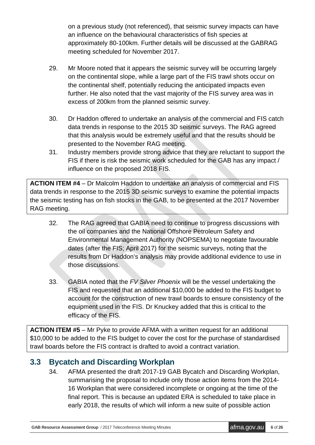on a previous study (not referenced), that seismic survey impacts can have an influence on the behavioural characteristics of fish species at approximately 80-100km. Further details will be discussed at the GABRAG meeting scheduled for November 2017.

- 29. Mr Moore noted that it appears the seismic survey will be occurring largely on the continental slope, while a large part of the FIS trawl shots occur on the continental shelf, potentially reducing the anticipated impacts even further. He also noted that the vast majority of the FIS survey area was in excess of 200km from the planned seismic survey.
- 30. Dr Haddon offered to undertake an analysis of the commercial and FIS catch data trends in response to the 2015 3D seismic surveys. The RAG agreed that this analysis would be extremely useful and that the results should be presented to the November RAG meeting.
- 31. Industry members provide strong advice that they are reluctant to support the FIS if there is risk the seismic work scheduled for the GAB has any impact / influence on the proposed 2018 FIS.

**ACTION ITEM #4** – Dr Malcolm Haddon to undertake an analysis of commercial and FIS data trends in response to the 2015 3D seismic surveys to examine the potential impacts the seismic testing has on fish stocks in the GAB, to be presented at the 2017 November RAG meeting.

- 32. The RAG agreed that GABIA need to continue to progress discussions with the oil companies and the National Offshore Petroleum Safety and Environmental Management Authority (NOPSEMA) to negotiate favourable dates (after the FIS; April 2017) for the seismic surveys, noting that the results from Dr Haddon's analysis may provide additional evidence to use in those discussions.
- 33. GABIA noted that the *FV Silver Phoenix* will be the vessel undertaking the FIS and requested that an additional \$10,000 be added to the FIS budget to account for the construction of new trawl boards to ensure consistency of the equipment used in the FIS. Dr Knuckey added that this is critical to the efficacy of the FIS.

**ACTION ITEM #5** – Mr Pyke to provide AFMA with a written request for an additional \$10,000 to be added to the FIS budget to cover the cost for the purchase of standardised trawl boards before the FIS contract is drafted to avoid a contract variation.

## **3.3 Bycatch and Discarding Workplan**

34. AFMA presented the draft 2017-19 GAB Bycatch and Discarding Workplan, summarising the proposal to include only those action items from the 2014- 16 Workplan that were considered incomplete or ongoing at the time of the final report. This is because an updated ERA is scheduled to take place in early 2018, the results of which will inform a new suite of possible action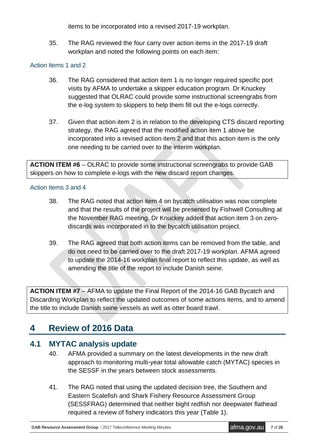items to be incorporated into a revised 2017-19 workplan.

35. The RAG reviewed the four carry over action items in the 2017-19 draft workplan and noted the following points on each item:

#### Action Items 1 and 2

- 36. The RAG considered that action item 1 is no longer required specific port visits by AFMA to undertake a skipper education program. Dr Knuckey suggested that OLRAC could provide some instructional screengrabs from the e-log system to skippers to help them fill out the e-logs correctly.
- 37. Given that action item 2 is in relation to the developing CTS discard reporting strategy, the RAG agreed that the modified action item 1 above be incorporated into a revised action item 2 and that this action item is the only one needing to be carried over to the interim workplan.

**ACTION ITEM #6** – OLRAC to provide some instructional screengrabs to provide GAB skippers on how to complete e-logs with the new discard report changes.

#### Action Items 3 and 4

- 38. The RAG noted that action item 4 on bycatch utilisation was now complete and that the results of the project will be presented by Fishwell Consulting at the November RAG meeting. Dr Knuckey added that action item 3 on zerodiscards was incorporated in to the bycatch utilisation project.
- 39. The RAG agreed that both action items can be removed from the table, and do not need to be carried over to the draft 2017-19 workplan. AFMA agreed to update the 2014-16 workplan final report to reflect this update, as well as amending the title of the report to include Danish seine.

**ACTION ITEM #7** – AFMA to update the Final Report of the 2014-16 GAB Bycatch and Discarding Workplan to reflect the updated outcomes of some actions items, and to amend the title to include Danish seine vessels as well as otter board trawl.

## **4 Review of 2016 Data**

### **4.1 MYTAC analysis update**

- 40. AFMA provided a summary on the latest developments in the new draft approach to monitoring multi-year total allowable catch (MYTAC) species in the SESSF in the years between stock assessments.
- 41. The RAG noted that using the updated decision tree, the Southern and Eastern Scalefish and Shark Fishery Resource Assessment Group (SESSFRAG) determined that neither bight redfish nor deepwater flathead required a review of fishery indicators this year (Table 1).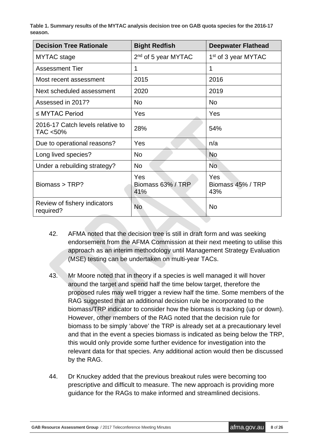**Table 1. Summary results of the MYTAC analysis decision tree on GAB quota species for the 2016-17 season.**

| <b>Decision Tree Rationale</b>               | <b>Bight Redfish</b>            | <b>Deepwater Flathead</b>       |
|----------------------------------------------|---------------------------------|---------------------------------|
| <b>MYTAC</b> stage                           | 2 <sup>nd</sup> of 5 year MYTAC | 1 <sup>st</sup> of 3 year MYTAC |
| <b>Assessment Tier</b>                       | 1                               | 1                               |
| Most recent assessment                       | 2015                            | 2016                            |
| Next scheduled assessment                    | 2020                            | 2019                            |
| Assessed in 2017?                            | <b>No</b>                       | <b>No</b>                       |
| $\leq$ MYTAC Period                          | Yes                             | Yes                             |
| 2016-17 Catch levels relative to<br>TAC <50% | 28%                             | 54%                             |
| Due to operational reasons?                  | Yes                             | n/a                             |
| Long lived species?                          | <b>No</b>                       | <b>No</b>                       |
| Under a rebuilding strategy?                 | <b>No</b>                       | <b>No</b>                       |
| Biomass > TRP?                               | Yes<br>Biomass 63% / TRP<br>41% | Yes<br>Biomass 45% / TRP<br>43% |
| Review of fishery indicators<br>required?    | <b>No</b>                       | <b>No</b>                       |

- 42. AFMA noted that the decision tree is still in draft form and was seeking endorsement from the AFMA Commission at their next meeting to utilise this approach as an interim methodology until Management Strategy Evaluation (MSE) testing can be undertaken on multi-year TACs.
- 43. Mr Moore noted that in theory if a species is well managed it will hover around the target and spend half the time below target, therefore the proposed rules may well trigger a review half the time. Some members of the RAG suggested that an additional decision rule be incorporated to the biomass/TRP indicator to consider how the biomass is tracking (up or down). However, other members of the RAG noted that the decision rule for biomass to be simply 'above' the TRP is already set at a precautionary level and that in the event a species biomass is indicated as being below the TRP, this would only provide some further evidence for investigation into the relevant data for that species. Any additional action would then be discussed by the RAG.
- 44. Dr Knuckey added that the previous breakout rules were becoming too prescriptive and difficult to measure. The new approach is providing more guidance for the RAGs to make informed and streamlined decisions.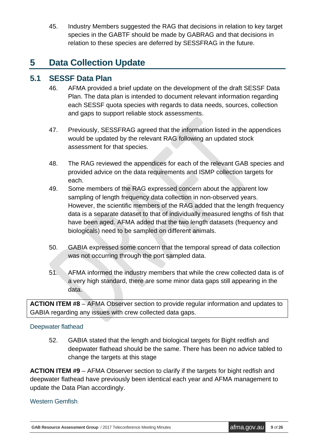45. Industry Members suggested the RAG that decisions in relation to key target species in the GABTF should be made by GABRAG and that decisions in relation to these species are deferred by SESSFRAG in the future.

# **5 Data Collection Update**

### **5.1 SESSF Data Plan**

- 46. AFMA provided a brief update on the development of the draft SESSF Data Plan. The data plan is intended to document relevant information regarding each SESSF quota species with regards to data needs, sources, collection and gaps to support reliable stock assessments.
- 47. Previously, SESSFRAG agreed that the information listed in the appendices would be updated by the relevant RAG following an updated stock assessment for that species.
- 48. The RAG reviewed the appendices for each of the relevant GAB species and provided advice on the data requirements and ISMP collection targets for each.
- 49. Some members of the RAG expressed concern about the apparent low sampling of length frequency data collection in non-observed years. However, the scientific members of the RAG added that the length frequency data is a separate dataset to that of individually measured lengths of fish that have been aged. AFMA added that the two length datasets (frequency and biologicals) need to be sampled on different animals.
- 50. GABIA expressed some concern that the temporal spread of data collection was not occurring through the port sampled data.
- 51. AFMA informed the industry members that while the crew collected data is of a very high standard, there are some minor data gaps still appearing in the data.

**ACTION ITEM #8** – AFMA Observer section to provide regular information and updates to GABIA regarding any issues with crew collected data gaps.

#### Deepwater flathead

52. GABIA stated that the length and biological targets for Bight redfish and deepwater flathead should be the same. There has been no advice tabled to change the targets at this stage

**ACTION ITEM #9** – AFMA Observer section to clarify if the targets for bight redfish and deepwater flathead have previously been identical each year and AFMA management to update the Data Plan accordingly.

#### Western Gemfish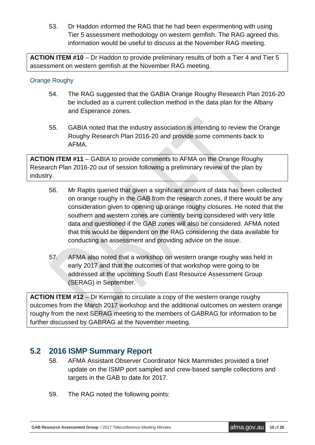53. Dr Haddon informed the RAG that he had been experimenting with using Tier 5 assessment methodology on western gemfish. The RAG agreed this information would be useful to discuss at the November RAG meeting.

**ACTION ITEM #10** – Dr Haddon to provide preliminary results of both a Tier 4 and Tier 5 assessment on western gemfish at the November RAG meeting.

#### Orange Roughy

- 54. The RAG suggested that the GABIA Orange Roughy Research Plan 2016-20 be included as a current collection method in the data plan for the Albany and Esperance zones.
- 55. GABIA noted that the industry association is intending to review the Orange Roughy Research Plan 2016-20 and provide some comments back to AFMA.

**ACTION ITEM #11** – GABIA to provide comments to AFMA on the Orange Roughy Research Plan 2016-20 out of session following a preliminary review of the plan by industry.

- 56. Mr Raptis queried that given a significant amount of data has been collected on orange roughy in the GAB from the research zones, if there would be any consideration given to opening up orange roughy closures. He noted that the southern and western zones are currently being considered with very little data and questioned if the GAB zones will also be considered. AFMA noted that this would be dependent on the RAG considering the data available for conducting an assessment and providing advice on the issue.
- 57. AFMA also noted that a workshop on western orange roughy was held in early 2017 and that the outcomes of that workshop were going to be addressed at the upcoming South East Resource Assessment Group (SERAG) in September.

**ACTION ITEM #12** – Dr Kerrigan to circulate a copy of the western orange roughy outcomes from the March 2017 workshop and the additional outcomes on western orange roughy from the next SERAG meeting to the members of GABRAG for information to be further discussed by GABRAG at the November meeting.

### **5.2 2016 ISMP Summary Report**

- 58. AFMA Assistant Observer Coordinator Nick Mammides provided a brief update on the ISMP port sampled and crew-based sample collections and targets in the GAB to date for 2017.
- 59. The RAG noted the following points: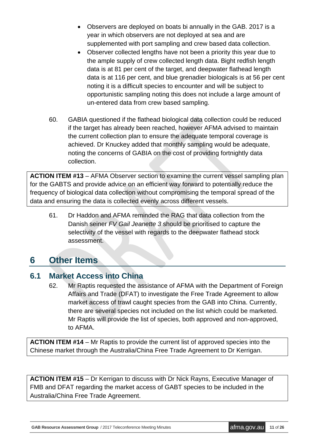- Observers are deployed on boats bi annually in the GAB. 2017 is a year in which observers are not deployed at sea and are supplemented with port sampling and crew based data collection.
- Observer collected lengths have not been a priority this year due to the ample supply of crew collected length data. Bight redfish length data is at 81 per cent of the target, and deepwater flathead length data is at 116 per cent, and blue grenadier biologicals is at 56 per cent noting it is a difficult species to encounter and will be subject to opportunistic sampling noting this does not include a large amount of un-entered data from crew based sampling.
- 60. GABIA questioned if the flathead biological data collection could be reduced if the target has already been reached, however AFMA advised to maintain the current collection plan to ensure the adequate temporal coverage is achieved. Dr Knuckey added that monthly sampling would be adequate, noting the concerns of GABIA on the cost of providing fortnightly data collection.

**ACTION ITEM #13** – AFMA Observer section to examine the current vessel sampling plan for the GABTS and provide advice on an efficient way forward to potentially reduce the frequency of biological data collection without compromising the temporal spread of the data and ensuring the data is collected evenly across different vessels.

61. Dr Haddon and AFMA reminded the RAG that data collection from the Danish seiner *FV Gail Jeanette 3* should be prioritised to capture the selectivity of the vessel with regards to the deepwater flathead stock assessment.

## **6 Other Items**

## **6.1 Market Access into China**

62. Mr Raptis requested the assistance of AFMA with the Department of Foreign Affairs and Trade (DFAT) to investigate the Free Trade Agreement to allow market access of trawl caught species from the GAB into China. Currently, there are several species not included on the list which could be marketed. Mr Raptis will provide the list of species, both approved and non-approved, to AFMA.

**ACTION ITEM #14** – Mr Raptis to provide the current list of approved species into the Chinese market through the Australia/China Free Trade Agreement to Dr Kerrigan.

**ACTION ITEM #15** – Dr Kerrigan to discuss with Dr Nick Rayns, Executive Manager of FMB and DFAT regarding the market access of GABT species to be included in the Australia/China Free Trade Agreement.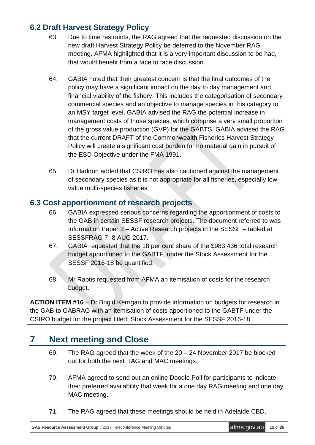## **6.2 Draft Harvest Strategy Policy**

- 63. Due to time restraints, the RAG agreed that the requested discussion on the new draft Harvest Strategy Policy be deferred to the November RAG meeting. AFMA highlighted that it is a very important discussion to be had, that would benefit from a face to face discussion.
- 64. GABIA noted that their greatest concern is that the final outcomes of the policy may have a significant impact on the day to day management and financial viability of the fishery. This includes the categorisation of secondary commercial species and an objective to manage species in this category to an MSY target level. GABIA advised the RAG the potential increase in management costs of those species, which comprise a very small proportion of the gross value production (GVP) for the GABTS. GABIA advised the RAG that the current DRAFT of the Commonwealth Fisheries Harvest Strategy Policy will create a significant cost burden for no material gain in pursuit of the ESD Objective under the FMA 1991.
- 65. Dr Haddon added that CSIRO has also cautioned against the management of secondary species as it is not appropriate for all fisheries, especially lowvalue multi-species fisheries

### **6.3 Cost apportionment of research projects**

- 66. GABIA expressed serious concerns regarding the apportionment of costs to the GAB in certain SESSF research projects. The document referred to was Information Paper 3 – Active Research projects in the SESSF – tabled at SESSFRAG 7 -8 AUG 2017.
- 67. GABIA requested that the 18 per cent share of the \$983,436 total research budget apportioned to the GABTF, under the Stock Assessment for the SESSF 2016-18 be quantified.
- 68. Mr Raptis requested from AFMA an itemisation of costs for the research budget.

**ACTION ITEM #16** – Dr Brigid Kerrigan to provide information on budgets for research in the GAB to GABRAG with an itemisation of costs apportioned to the GABTF under the CSIRO budget for the project titled; Stock Assessment for the SESSF 2016-18

## **7 Next meeting and Close**

- 69. The RAG agreed that the week of the 20 24 November 2017 be blocked out for both the next RAG and MAC meetings.
- 70. AFMA agreed to send out an online Doodle Poll for participants to indicate their preferred availability that week for a one day RAG meeting and one day MAC meeting.
- 71. The RAG agreed that these meetings should be held in Adelaide CBD.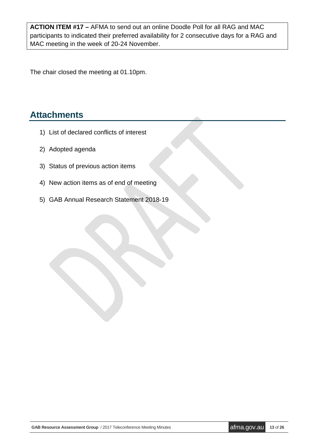**ACTION ITEM #17 –** AFMA to send out an online Doodle Poll for all RAG and MAC participants to indicated their preferred availability for 2 consecutive days for a RAG and MAC meeting in the week of 20-24 November.

The chair closed the meeting at 01.10pm.

## **Attachments**

- 1) List of declared conflicts of interest
- 2) Adopted agenda
- 3) Status of previous action items
- 4) New action items as of end of meeting
- 5) GAB Annual Research Statement 2018-19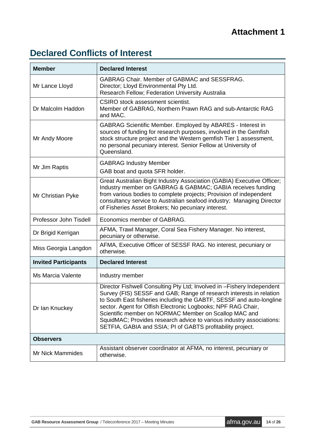# <span id="page-13-0"></span>**Declared Conflicts of Interest**

| <b>Member</b>               | <b>Declared Interest</b>                                                                                                                                                                                                                                                                                                                                                                                                                                                             |  |  |
|-----------------------------|--------------------------------------------------------------------------------------------------------------------------------------------------------------------------------------------------------------------------------------------------------------------------------------------------------------------------------------------------------------------------------------------------------------------------------------------------------------------------------------|--|--|
| Mr Lance Lloyd              | <b>GABRAG Chair. Member of GABMAC and SESSFRAG.</b><br>Director; Lloyd Environmental Pty Ltd.<br>Research Fellow; Federation University Australia                                                                                                                                                                                                                                                                                                                                    |  |  |
| Dr Malcolm Haddon           | CSIRO stock assessment scientist.<br>Member of GABRAG, Northern Prawn RAG and sub-Antarctic RAG<br>and MAC.                                                                                                                                                                                                                                                                                                                                                                          |  |  |
| Mr Andy Moore               | GABRAG Scientific Member. Employed by ABARES - Interest in<br>sources of funding for research purposes, involved in the Gemfish<br>stock structure project and the Western gemfish Tier 1 assessment,<br>no personal pecuniary interest. Senior Fellow at University of<br>Queensland.                                                                                                                                                                                               |  |  |
| Mr Jim Raptis               | <b>GABRAG Industry Member</b><br>GAB boat and quota SFR holder.                                                                                                                                                                                                                                                                                                                                                                                                                      |  |  |
| Mr Christian Pyke           | Great Australian Bight Industry Association (GABIA) Executive Officer;<br>Industry member on GABRAG & GABMAC; GABIA receives funding<br>from various bodies to complete projects; Provision of independent<br>consultancy service to Australian seafood industry; Managing Director<br>of Fisheries Asset Brokers; No pecuniary interest.                                                                                                                                            |  |  |
| Professor John Tisdell      | Economics member of GABRAG.                                                                                                                                                                                                                                                                                                                                                                                                                                                          |  |  |
| Dr Brigid Kerrigan          | AFMA, Trawl Manager, Coral Sea Fishery Manager. No interest,<br>pecuniary or otherwise.                                                                                                                                                                                                                                                                                                                                                                                              |  |  |
| Miss Georgia Langdon        | AFMA, Executive Officer of SESSF RAG. No interest, pecuniary or<br>otherwise.                                                                                                                                                                                                                                                                                                                                                                                                        |  |  |
| <b>Invited Participants</b> | <b>Declared Interest</b>                                                                                                                                                                                                                                                                                                                                                                                                                                                             |  |  |
| Ms Marcia Valente           | Industry member                                                                                                                                                                                                                                                                                                                                                                                                                                                                      |  |  |
| Dr Ian Knuckey              | Director Fishwell Consulting Pty Ltd; Involved in -Fishery Independent<br>Survey (FIS) SESSF and GAB; Range of research interests in relation<br>to South East fisheries including the GABTF, SESSF and auto-longline<br>sector. Agent for Olfish Electronic Logbooks; NPF RAG Chair,<br>Scientific member on NORMAC Member on Scallop MAC and<br>SquidMAC; Provides research advice to various industry associations:<br>SETFIA, GABIA and SSIA; PI of GABTS profitability project. |  |  |
| <b>Observers</b>            |                                                                                                                                                                                                                                                                                                                                                                                                                                                                                      |  |  |
| Mr Nick Mammides            | Assistant observer coordinator at AFMA, no interest, pecuniary or<br>otherwise.                                                                                                                                                                                                                                                                                                                                                                                                      |  |  |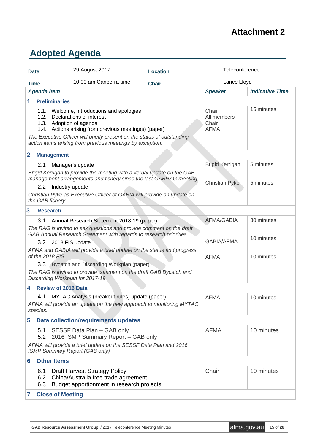## **Attachment 2**

# <span id="page-14-0"></span>**Adopted Agenda**

| <b>Date</b> | 29 August 2017                                                                                                                                                                                                                                                                                         | <b>Location</b> | Teleconference                                  |                        |  |  |  |
|-------------|--------------------------------------------------------------------------------------------------------------------------------------------------------------------------------------------------------------------------------------------------------------------------------------------------------|-----------------|-------------------------------------------------|------------------------|--|--|--|
| <b>Time</b> | 10:00 am Canberra time                                                                                                                                                                                                                                                                                 | <b>Chair</b>    | Lance Lloyd                                     |                        |  |  |  |
|             | <b>Agenda item</b>                                                                                                                                                                                                                                                                                     |                 | <b>Speaker</b>                                  | <b>Indicative Time</b> |  |  |  |
|             | 1. Preliminaries                                                                                                                                                                                                                                                                                       |                 |                                                 |                        |  |  |  |
|             | 1.1. Welcome, introductions and apologies<br>1.2. Declarations of interest<br>1.3. Adoption of agenda<br>1.4. Actions arising from previous meeting(s) (paper)<br>The Executive Officer will briefly present on the status of outstanding<br>action items arising from previous meetings by exception. |                 | Chair<br>All members<br>Chair<br><b>AFMA</b>    | 15 minutes             |  |  |  |
|             | 2. Management                                                                                                                                                                                                                                                                                          |                 |                                                 |                        |  |  |  |
|             | 2.1<br>Manager's update<br>Brigid Kerrigan to provide the meeting with a verbal update on the GAB<br>management arrangements and fishery since the last GABRAG meeting.<br>2.2 Industry update<br>Christian Pyke as Executive Officer of GABIA will provide an update on<br>the GAB fishery.           |                 | <b>Brigid Kerrigan</b><br><b>Christian Pyke</b> | 5 minutes<br>5 minutes |  |  |  |
| 3.          | <b>Research</b>                                                                                                                                                                                                                                                                                        |                 |                                                 |                        |  |  |  |
|             | 3.1<br>Annual Research Statement 2018-19 (paper)<br>The RAG is invited to ask questions and provide comment on the draft                                                                                                                                                                               |                 | <b>AFMA/GABIA</b>                               | 30 minutes             |  |  |  |
|             | GAB Annual Research Statement with regards to research priorities.<br>3.2 2018 FIS update                                                                                                                                                                                                              |                 | <b>GABIA/AFMA</b>                               | 10 minutes             |  |  |  |
|             | AFMA and GABIA will provide a brief update on the status and progress<br>of the 2018 FIS.<br>3.3 Bycatch and Discarding Workplan (paper)<br>The RAG is invited to provide comment on the draft GAB Bycatch and<br>Discarding Workplan for 2017-19.                                                     |                 | <b>AFMA</b>                                     | 10 minutes             |  |  |  |
|             | 4. Review of 2016 Data                                                                                                                                                                                                                                                                                 |                 |                                                 |                        |  |  |  |
|             | MYTAC Analysis (breakout rules) update (paper)<br>4.1<br>AFMA will provide an update on the new approach to monitoring MYTAC<br>species.                                                                                                                                                               |                 | <b>AFMA</b>                                     | 10 minutes             |  |  |  |
|             | 5. Data collection/requirements updates                                                                                                                                                                                                                                                                |                 |                                                 |                        |  |  |  |
|             | SESSF Data Plan - GAB only<br>5.1<br>5.2 2016 ISMP Summary Report - GAB only<br>AFMA will provide a brief update on the SESSF Data Plan and 2016                                                                                                                                                       |                 | <b>AFMA</b>                                     | 10 minutes             |  |  |  |
|             | <b>ISMP Summary Report (GAB only)</b>                                                                                                                                                                                                                                                                  |                 |                                                 |                        |  |  |  |
| 6. .        | <b>Other Items</b>                                                                                                                                                                                                                                                                                     |                 |                                                 |                        |  |  |  |
|             | 6.1<br><b>Draft Harvest Strategy Policy</b><br>China/Australia free trade agreement<br>6.2<br>Budget apportionment in research projects<br>6.3                                                                                                                                                         |                 | Chair                                           | 10 minutes             |  |  |  |
|             | 7. Close of Meeting                                                                                                                                                                                                                                                                                    |                 |                                                 |                        |  |  |  |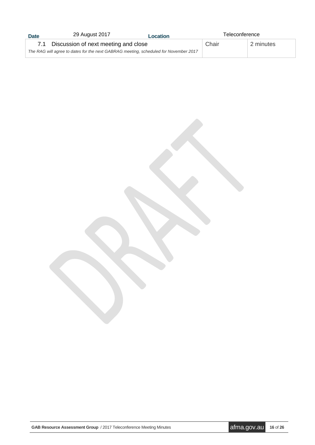| <b>Date</b>                                                                          | 29 August 2017<br>Location           |  | Teleconference |           |
|--------------------------------------------------------------------------------------|--------------------------------------|--|----------------|-----------|
|                                                                                      | Discussion of next meeting and close |  | Chair          | 2 minutes |
| The RAG will agree to dates for the next GABRAG meeting, scheduled for November 2017 |                                      |  |                |           |

**GAB Resource Assessment Group** / 2017 Teleconference Meeting Minutes **afma.gov.au** 16 of 26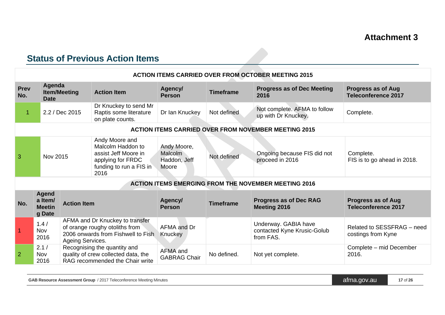# **Status of Previous Action Items**

|                | <b>ACTION ITEMS CARRIED OVER FROM OCTOBER MEETING 2015</b>        |                     |                                                                                                                     |                                                 |                                                      |                                                                  |                                                         |
|----------------|-------------------------------------------------------------------|---------------------|---------------------------------------------------------------------------------------------------------------------|-------------------------------------------------|------------------------------------------------------|------------------------------------------------------------------|---------------------------------------------------------|
| Prev<br>No.    | Agenda<br><b>Date</b>                                             | <b>Item/Meeting</b> | <b>Action Item</b>                                                                                                  | Agency/<br><b>Person</b>                        | <b>Timeframe</b>                                     | <b>Progress as of Dec Meeting</b><br>2016                        | <b>Progress as of Aug</b><br><b>Teleconference 2017</b> |
| 1              |                                                                   | 2.2 / Dec 2015      | Dr Knuckey to send Mr<br>Raptis some literature<br>on plate counts.                                                 | Dr Ian Knuckey                                  | Not defined                                          | Not complete. AFMA to follow<br>up with Dr Knuckey.              | Complete.                                               |
|                |                                                                   |                     |                                                                                                                     |                                                 |                                                      | <b>ACTION ITEMS CARRIED OVER FROM NOVEMBER MEETING 2015</b>      |                                                         |
| 3              | Nov 2015                                                          |                     | Andy Moore and<br>Malcolm Haddon to<br>assist Jeff Moore in<br>applying for FRDC<br>funding to run a FIS in<br>2016 | Andy Moore,<br>Malcolm<br>Haddon, Jeff<br>Moore | Not defined                                          | Ongoing because FIS did not<br>proceed in 2016                   | Complete.<br>FIS is to go ahead in 2018.                |
|                |                                                                   |                     |                                                                                                                     |                                                 |                                                      | <b>ACTION ITEMS EMERGING FROM THE NOVEMBER MEETING 2016</b>      |                                                         |
| No.            | Agend<br>a Item/<br><b>Action Item</b><br><b>Meetin</b><br>g Date |                     | Agency/<br><b>Person</b>                                                                                            | <b>Timeframe</b>                                | <b>Progress as of Dec RAG</b><br><b>Meeting 2016</b> | <b>Progress as of Aug</b><br><b>Teleconference 2017</b>          |                                                         |
| $\overline{1}$ | 1.4/<br>Nov<br>2016                                               | Ageing Services.    | AFMA and Dr Knuckey to transfer<br>of orange roughy otoliths from<br>2006 onwards from Fishwell to Fish             | AFMA and Dr<br>Knuckey                          |                                                      | Underway. GABIA have<br>contacted Kyne Krusic-Golub<br>from FAS. | Related to SESSFRAG - need<br>costings from Kyne        |
| $\overline{2}$ | 2.1/<br>Nov<br>2016                                               |                     | Recognising the quantity and<br>quality of crew collected data, the<br>RAG recommended the Chair write              | AFMA and<br><b>GABRAG Chair</b>                 | No defined.                                          | Not yet complete.                                                | Complete - mid December<br>2016.                        |

<span id="page-16-0"></span>

| <b>GAB Resource Assessment Group</b> / 2017 Teleconference Meeting Minutes | atma.gov.au | 17 of 26 |
|----------------------------------------------------------------------------|-------------|----------|
|----------------------------------------------------------------------------|-------------|----------|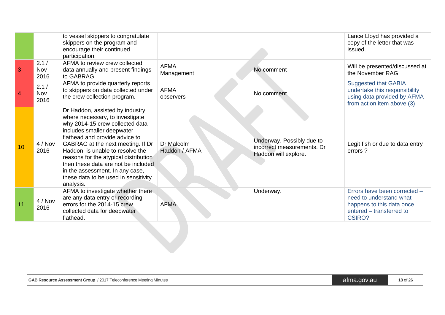|                |                     | to vessel skippers to congratulate<br>skippers on the program and<br>encourage their continued<br>participation.                                                                                                                                                                                                                                                                                                       |                             |                                                                                 | Lance Lloyd has provided a<br>copy of the letter that was<br>issued.                                                              |
|----------------|---------------------|------------------------------------------------------------------------------------------------------------------------------------------------------------------------------------------------------------------------------------------------------------------------------------------------------------------------------------------------------------------------------------------------------------------------|-----------------------------|---------------------------------------------------------------------------------|-----------------------------------------------------------------------------------------------------------------------------------|
| $\overline{3}$ | 2.1/<br>Nov<br>2016 | AFMA to review crew collected<br>data annually and present findings<br>to GABRAG                                                                                                                                                                                                                                                                                                                                       | <b>AFMA</b><br>Management   | No comment                                                                      | Will be presented/discussed at<br>the November RAG                                                                                |
| $\overline{4}$ | 2.1/<br>Nov<br>2016 | AFMA to provide quarterly reports<br>to skippers on data collected under<br>the crew collection program.                                                                                                                                                                                                                                                                                                               | <b>AFMA</b><br>observers    | No comment                                                                      | <b>Suggested that GABIA</b><br>undertake this responsibility<br>using data provided by AFMA<br>from action item above (3)         |
| 10             | 4 / Nov<br>2016     | Dr Haddon, assisted by industry<br>where necessary, to investigate<br>why 2014-15 crew collected data<br>includes smaller deepwater<br>flathead and provide advice to<br>GABRAG at the next meeting. If Dr<br>Haddon, is unable to resolve the<br>reasons for the atypical distribution<br>then these data are not be included<br>in the assessment. In any case,<br>these data to be used in sensitivity<br>analysis. | Dr Malcolm<br>Haddon / AFMA | Underway. Possibly due to<br>incorrect measurements. Dr<br>Haddon will explore. | Legit fish or due to data entry<br>errors?                                                                                        |
| 11             | 4/Nov<br>2016       | AFMA to investigate whether there<br>are any data entry or recording<br>errors for the 2014-15 crew<br>collected data for deepwater<br>flathead.                                                                                                                                                                                                                                                                       | <b>AFMA</b>                 | Underway.                                                                       | Errors have been corrected -<br>need to understand what<br>happens to this data once<br>entered - transferred to<br><b>CSIRO?</b> |

| <b>GAB Resource Assessment Group</b> / 2017 Teleconference Meeting Minutes | atma.gov.au | 18 of 26 |
|----------------------------------------------------------------------------|-------------|----------|
|----------------------------------------------------------------------------|-------------|----------|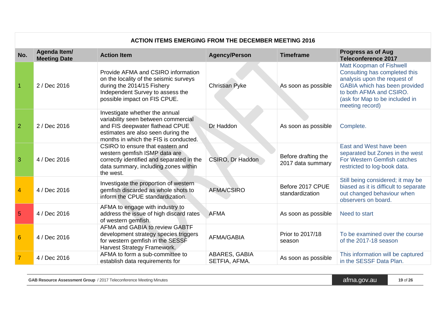|                 | <b>ACTION ITEMS EMERGING FROM THE DECEMBER MEETING 2016</b> |                                                                                                                                                                                         |                                |                                          |                                                                                                                                                                                                                   |  |
|-----------------|-------------------------------------------------------------|-----------------------------------------------------------------------------------------------------------------------------------------------------------------------------------------|--------------------------------|------------------------------------------|-------------------------------------------------------------------------------------------------------------------------------------------------------------------------------------------------------------------|--|
| No.             | Agenda Item/<br><b>Meeting Date</b>                         | <b>Action Item</b>                                                                                                                                                                      | <b>Agency/Person</b>           | <b>Timeframe</b>                         | <b>Progress as of Aug</b><br><b>Teleconference 2017</b>                                                                                                                                                           |  |
|                 | 2 / Dec 2016                                                | Provide AFMA and CSIRO information<br>on the locality of the seismic surveys<br>during the 2014/15 Fishery<br>Independent Survey to assess the<br>possible impact on FIS CPUE.          | <b>Christian Pyke</b>          | As soon as possible                      | <b>Matt Koopman of Fishwell</b><br>Consulting has completed this<br>analysis upon the request of<br>GABIA which has been provided<br>to both AFMA and CSIRO.<br>(ask for Map to be included in<br>meeting record) |  |
| $\overline{2}$  | 2 / Dec 2016                                                | Investigate whether the annual<br>variability seen between commercial<br>and FIS deepwater flathead CPUE<br>estimates are also seen during the<br>months in which the FIS is conducted. | Dr Haddon                      | As soon as possible                      | Complete.                                                                                                                                                                                                         |  |
| 3               | 4 / Dec 2016                                                | CSIRO to ensure that eastern and<br>western gemfish ISMP data are<br>correctly identified and separated in the<br>data summary, including zones within<br>the west.                     | CSIRO, Dr Haddon               | Before drafting the<br>2017 data summary | East and West have been<br>separated but Zones in the west<br>For Western Gemfish catches<br>restricted to log-book data.                                                                                         |  |
| 4               | 4 / Dec 2016                                                | Investigate the proportion of western<br>gemfish discarded as whole shots to<br>inform the CPUE standardization.                                                                        | <b>AFMA/CSIRO</b>              | Before 2017 CPUE<br>standardization      | Still being considered; it may be<br>biased as it is difficult to separate<br>out changed behaviour when<br>observers on board.                                                                                   |  |
| 5               | 4 / Dec 2016                                                | AFMA to engage with industry to<br>address the issue of high discard rates<br>of western gemfish.                                                                                       | <b>AFMA</b>                    | As soon as possible                      | Need to start                                                                                                                                                                                                     |  |
| $6\phantom{1}6$ | 4 / Dec 2016                                                | AFMA and GABIA to review GABTF<br>development strategy species triggers<br>for western gemfish in the SESSF<br>Harvest Strategy Framework.                                              | <b>AFMA/GABIA</b>              | Prior to 2017/18<br>season               | To be examined over the course<br>of the 2017-18 season                                                                                                                                                           |  |
| $\overline{7}$  | 4 / Dec 2016                                                | AFMA to form a sub-committee to<br>establish data requirements for                                                                                                                      | ABARES, GABIA<br>SETFIA, AFMA. | As soon as possible                      | This information will be captured<br>in the SESSF Data Plan.                                                                                                                                                      |  |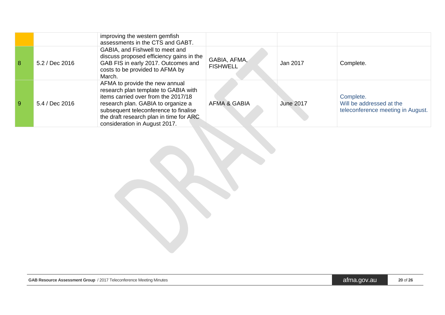|   |                | improving the western gemfish<br>assessments in the CTS and GABT.                                                                                                                                                                                                         |                                 |                  |                                                                            |
|---|----------------|---------------------------------------------------------------------------------------------------------------------------------------------------------------------------------------------------------------------------------------------------------------------------|---------------------------------|------------------|----------------------------------------------------------------------------|
| 8 | 5.2 / Dec 2016 | GABIA, and Fishwell to meet and<br>discuss proposed efficiency gains in the<br>GAB FIS in early 2017. Outcomes and<br>costs to be provided to AFMA by<br>March.                                                                                                           | GABIA, AFMA,<br><b>FISHWELL</b> | Jan 2017         | Complete.                                                                  |
| 9 | 5.4 / Dec 2016 | AFMA to provide the new annual<br>research plan template to GABIA with<br>items carried over from the 2017/18<br>research plan. GABIA to organize a<br>subsequent teleconference to finalise<br>the draft research plan in time for ARC.<br>consideration in August 2017. | <b>AFMA &amp; GABIA</b>         | <b>June 2017</b> | Complete.<br>Will be addressed at the<br>teleconference meeting in August. |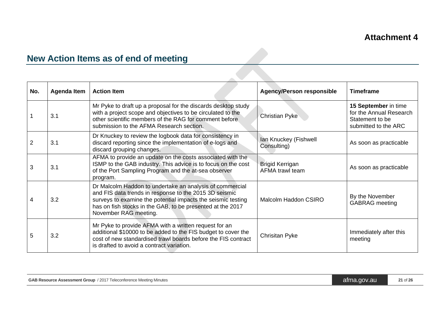# **New Action Items as of end of meeting**

| No. | Agenda Item | <b>Action Item</b>                                                                                                                                                                                                                                                        | <b>Agency/Person responsible</b>          | <b>Timeframe</b>                                                                           |
|-----|-------------|---------------------------------------------------------------------------------------------------------------------------------------------------------------------------------------------------------------------------------------------------------------------------|-------------------------------------------|--------------------------------------------------------------------------------------------|
|     | 3.1         | Mr Pyke to draft up a proposal for the discards desktop study<br>with a project scope and objectives to be circulated to the<br>other scientific members of the RAG for comment before<br>submission to the AFMA Research section.                                        | <b>Christian Pyke</b>                     | 15 September in time<br>for the Annual Research<br>Statement to be<br>submitted to the ARC |
|     | 3.1         | Dr Knuckey to review the logbook data for consistency in<br>discard reporting since the implementation of e-logs and<br>discard grouping changes.                                                                                                                         | Ian Knuckey (Fishwell<br>Consulting)      | As soon as practicable                                                                     |
| 3   | 3.1         | AFMA to provide an update on the costs associated with the<br>ISMP to the GAB industry. This advice is to focus on the cost<br>of the Port Sampling Program and the at-sea observer<br>program.                                                                           | <b>Brigid Kerrigan</b><br>AFMA trawl team | As soon as practicable                                                                     |
| 4   | 3.2         | Dr Malcolm Haddon to undertake an analysis of commercial<br>and FIS data trends in response to the 2015 3D seismic<br>surveys to examine the potential impacts the seismic testing<br>has on fish stocks in the GAB, to be presented at the 2017<br>November RAG meeting. | Malcolm Haddon CSIRO                      | By the November<br><b>GABRAG</b> meeting                                                   |
| 5   | 3.2         | Mr Pyke to provide AFMA with a written request for an<br>additional \$10000 to be added to the FIS budget to cover the<br>cost of new standardised trawl boards before the FIS contract<br>is drafted to avoid a contract variation.                                      | Chrisitan Pyke                            | Immediately after this<br>meeting                                                          |

 $\mathcal{L}_{\mathcal{A}}$ 

<span id="page-20-0"></span>

| <b>GAB Resource Assessment Group</b> / 2017 Teleconference Meeting Minutes | atma.gov.au | 21 of 26 |
|----------------------------------------------------------------------------|-------------|----------|
|----------------------------------------------------------------------------|-------------|----------|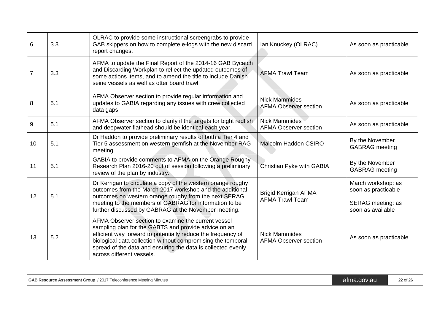| 6  | 3.3 | OLRAC to provide some instructional screengrabs to provide<br>GAB skippers on how to complete e-logs with the new discard<br>report changes.                                                                                                                                                                                             | Ian Knuckey (OLRAC)                                   | As soon as practicable                                                                     |
|----|-----|------------------------------------------------------------------------------------------------------------------------------------------------------------------------------------------------------------------------------------------------------------------------------------------------------------------------------------------|-------------------------------------------------------|--------------------------------------------------------------------------------------------|
|    | 3.3 | AFMA to update the Final Report of the 2014-16 GAB Bycatch<br>and Discarding Workplan to reflect the updated outcomes of<br>some actions items, and to amend the title to include Danish<br>seine vessels as well as otter board trawl.                                                                                                  | <b>AFMA Trawl Team</b>                                | As soon as practicable                                                                     |
| 8  | 5.1 | AFMA Observer section to provide regular information and<br>updates to GABIA regarding any issues with crew collected<br>data gaps.                                                                                                                                                                                                      | <b>Nick Mammides</b><br><b>AFMA Observer section</b>  | As soon as practicable                                                                     |
| 9  | 5.1 | AFMA Observer section to clarify if the targets for bight redfish<br>and deepwater flathead should be identical each year.                                                                                                                                                                                                               | <b>Nick Mammides</b><br><b>AFMA Observer section</b>  | As soon as practicable                                                                     |
| 10 | 5.1 | Dr Haddon to provide preliminary results of both a Tier 4 and<br>Tier 5 assessment on western gemfish at the November RAG<br>meeting.                                                                                                                                                                                                    | Malcolm Haddon CSIRO                                  | By the November<br><b>GABRAG</b> meeting                                                   |
| 11 | 5.1 | GABIA to provide comments to AFMA on the Orange Roughy<br>Research Plan 2016-20 out of session following a preliminary<br>review of the plan by industry.                                                                                                                                                                                | Christian Pyke with GABIA                             | By the November<br><b>GABRAG</b> meeting                                                   |
| 12 | 5.1 | Dr Kerrigan to circulate a copy of the western orange roughy<br>outcomes from the March 2017 workshop and the additional<br>outcomes on western orange roughy from the next SERAG<br>meeting to the members of GABRAG for information to be<br>further discussed by GABRAG at the November meeting.                                      | <b>Brigid Kerrigan AFMA</b><br><b>AFMA Trawl Team</b> | March workshop: as<br>soon as practicable<br><b>SERAG</b> meeting: as<br>soon as available |
| 13 | 5.2 | AFMA Observer section to examine the current vessel<br>sampling plan for the GABTS and provide advice on an<br>efficient way forward to potentially reduce the frequency of<br>biological data collection without compromising the temporal<br>spread of the data and ensuring the data is collected evenly<br>across different vessels. | <b>Nick Mammides</b><br><b>AFMA Observer section</b>  | As soon as practicable                                                                     |

| <b>GAB Resource Assessment Group</b> / 2017 Teleconference Meeting Minutes | atma.gov.au | 22 of 26 |
|----------------------------------------------------------------------------|-------------|----------|
|----------------------------------------------------------------------------|-------------|----------|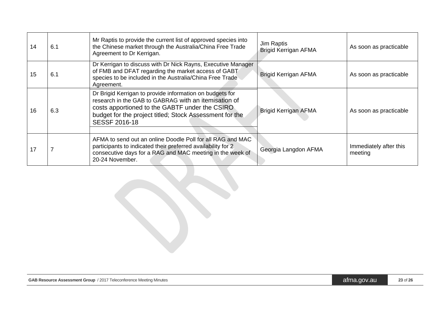| 14 | 6.1 | Mr Raptis to provide the current list of approved species into<br>the Chinese market through the Australia/China Free Trade<br>Agreement to Dr Kerrigan.                                                                                              | Jim Raptis<br><b>Brigid Kerrigan AFMA</b> | As soon as practicable            |
|----|-----|-------------------------------------------------------------------------------------------------------------------------------------------------------------------------------------------------------------------------------------------------------|-------------------------------------------|-----------------------------------|
| 15 | 6.1 | Dr Kerrigan to discuss with Dr Nick Rayns, Executive Manager<br>of FMB and DFAT regarding the market access of GABT<br>species to be included in the Australia/China Free Trade<br>Agreement.                                                         | <b>Brigid Kerrigan AFMA</b>               | As soon as practicable            |
| 16 | 6.3 | Dr Brigid Kerrigan to provide information on budgets for<br>research in the GAB to GABRAG with an itemisation of<br>costs apportioned to the GABTF under the CSIRO<br>budget for the project titled; Stock Assessment for the<br><b>SESSF 2016-18</b> | <b>Brigid Kerrigan AFMA</b>               | As soon as practicable            |
| 17 |     | AFMA to send out an online Doodle Poll for all RAG and MAC<br>participants to indicated their preferred availability for 2<br>consecutive days for a RAG and MAC meeting in the week of<br>20-24 November.                                            | Georgia Langdon AFMA                      | Immediately after this<br>meeting |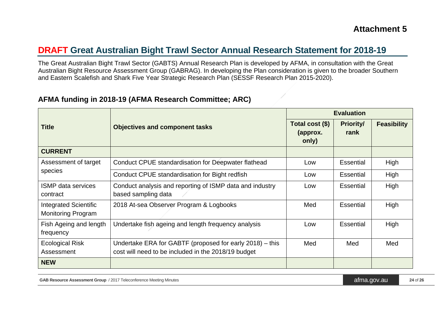## **DRAFT Great Australian Bight Trawl Sector Annual Research Statement for 2018-19**

The Great Australian Bight Trawl Sector (GABTS) Annual Research Plan is developed by AFMA, in consultation with the Great Australian Bight Resource Assessment Group (GABRAG). In developing the Plan consideration is given to the broader Southern and Eastern Scalefish and Shark Five Year Strategic Research Plan (SESSF Research Plan 2015-2020).

#### **AFMA funding in 2018-19 (AFMA Research Committee; ARC)**

|                                                           |                                                                                                                 | <b>Evaluation</b>                    |                          |                    |
|-----------------------------------------------------------|-----------------------------------------------------------------------------------------------------------------|--------------------------------------|--------------------------|--------------------|
| <b>Title</b>                                              | <b>Objectives and component tasks</b>                                                                           | Total cost (\$)<br>(approx.<br>only) | <b>Priority/</b><br>rank | <b>Feasibility</b> |
| <b>CURRENT</b>                                            |                                                                                                                 |                                      |                          |                    |
| Assessment of target                                      | Conduct CPUE standardisation for Deepwater flathead                                                             | Low                                  | <b>Essential</b>         | High               |
| species                                                   | Conduct CPUE standardisation for Bight redfish                                                                  | Low                                  | <b>Essential</b>         | High               |
| <b>ISMP</b> data services<br>contract                     | Conduct analysis and reporting of ISMP data and industry<br>based sampling data                                 | Low                                  | <b>Essential</b>         | High               |
| <b>Integrated Scientific</b><br><b>Monitoring Program</b> | 2018 At-sea Observer Program & Logbooks                                                                         | Med                                  | Essential                | High               |
| Fish Ageing and length<br>frequency                       | Undertake fish ageing and length frequency analysis                                                             | Low                                  | <b>Essential</b>         | High               |
| Ecological Risk<br>Assessment                             | Undertake ERA for GABTF (proposed for early 2018) – this<br>cost will need to be included in the 2018/19 budget | Med                                  | Med                      | Med                |
| <b>NEW</b>                                                |                                                                                                                 |                                      |                          |                    |

GAB Resource Assessment Group / 2017 Teleconference Meeting Minutes **and According to the Conference Meeting Minutes** and a set of 26 and a set of 26 and 24 of 26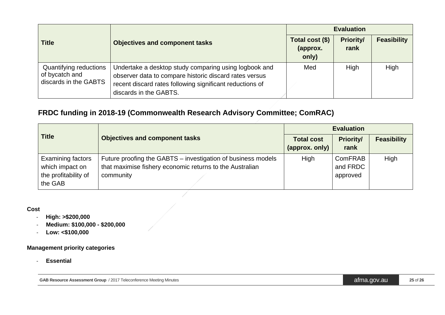|                                                                   |                                                                                                                                                                                                       | <b>Evaluation</b>                    |                          |                    |
|-------------------------------------------------------------------|-------------------------------------------------------------------------------------------------------------------------------------------------------------------------------------------------------|--------------------------------------|--------------------------|--------------------|
| <b>Title</b>                                                      | <b>Objectives and component tasks</b>                                                                                                                                                                 | Total cost (\$)<br>(approx.<br>only) | <b>Priority/</b><br>rank | <b>Feasibility</b> |
| Quantifying reductions<br>of bycatch and<br>discards in the GABTS | Undertake a desktop study comparing using logbook and<br>observer data to compare historic discard rates versus<br>recent discard rates following significant reductions of<br>discards in the GABTS. | Med                                  | High                     | High               |

## **FRDC funding in 2018-19 (Commonwealth Research Advisory Committee; ComRAC)**

| <b>Title</b>                                                            |                                                                                                                                       | <b>Evaluation</b>                   |                                        |                    |
|-------------------------------------------------------------------------|---------------------------------------------------------------------------------------------------------------------------------------|-------------------------------------|----------------------------------------|--------------------|
|                                                                         | <b>Objectives and component tasks</b>                                                                                                 | <b>Total cost</b><br>(approx. only) | <b>Priority/</b><br>rank               | <b>Feasibility</b> |
| Examining factors<br>which impact on<br>the profitability of<br>the GAB | Future proofing the GABTS – investigation of business models<br>that maximise fishery economic returns to the Australian<br>community | High                                | <b>ComFRAB</b><br>and FRDC<br>approved | High               |

#### **Cost**

- **High: >\$200,000**
- **Medium: \$100,000 - \$200,000**
- **Low: <\$100,000**

#### **Management priority categories**

- **Essential**